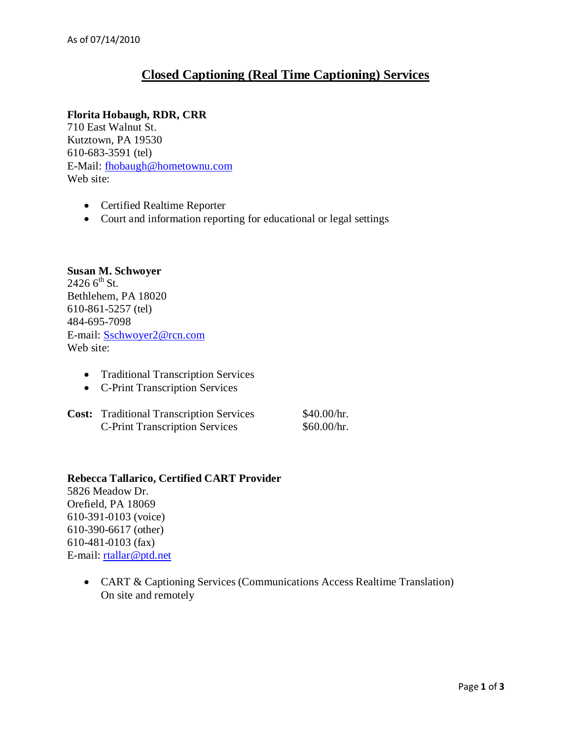# **Closed Captioning (Real Time Captioning) Services**

## **Florita Hobaugh, RDR, CRR**

710 East Walnut St. Kutztown, PA 19530 610-683-3591 (tel) E-Mail: [fhobaugh@hometownu.com](mailto:fhobaugh@hometownu.com) Web site:

- Certified Realtime Reporter
- Court and information reporting for educational or legal settings

#### **Susan M. Schwoyer**  $24266^{th}$  St. Bethlehem, PA 18020 610-861-5257 (tel) 484-695-7098 E-mail: [Sschwoyer2@rcn.com](mailto:Sschwoyer2@rcn.com) Web site:

- Traditional Transcription Services
- C-Print Transcription Services
- **Cost:** Traditional Transcription Services \$40.00/hr.<br>C-Print Transcription Services \$60.00/hr. C-Print Transcription Services

## **Rebecca Tallarico, Certified CART Provider** 5826 Meadow Dr. Orefield, PA 18069 610-391-0103 (voice) 610-390-6617 (other) 610-481-0103 (fax) E-mail: [rtallar@ptd.net](mailto:rtallar@ptd.net)

• CART & Captioning Services (Communications Access Realtime Translation) On site and remotely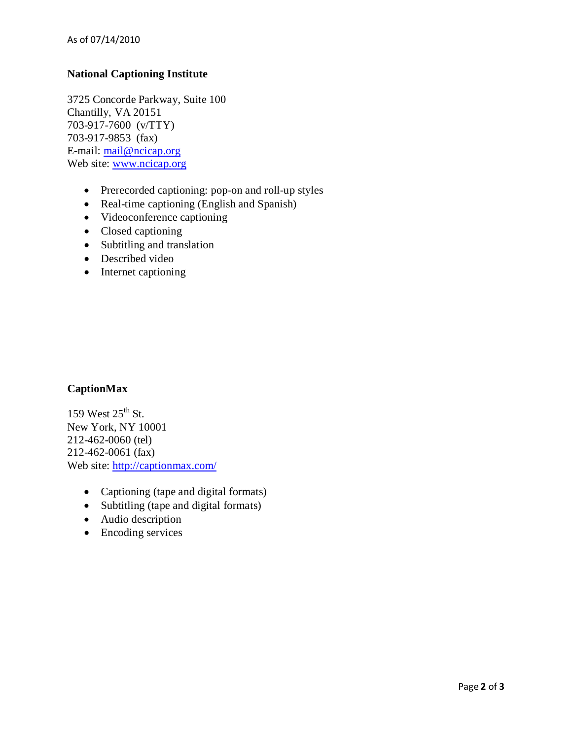# **National Captioning Institute**

3725 Concorde Parkway, Suite 100 Chantilly, VA 20151 703-917-7600 (v/TTY) 703-917-9853 (fax) E-mail: [mail@ncicap.org](mailto:mail@ncicap.org) Web site: [www.ncicap.org](http://www.ncicap.org/)

- Prerecorded captioning: pop-on and roll-up styles
- Real-time captioning (English and Spanish)
- Videoconference captioning
- Closed captioning
- Subtitling and translation
- Described video
- Internet captioning

#### **CaptionMax**

159 West  $25^{\text{th}}$  St. New York, NY 10001 212-462-0060 (tel) 212-462-0061 (fax) Web site:<http://captionmax.com/>

- Captioning (tape and digital formats)
- Subtitling (tape and digital formats)
- Audio description
- Encoding services